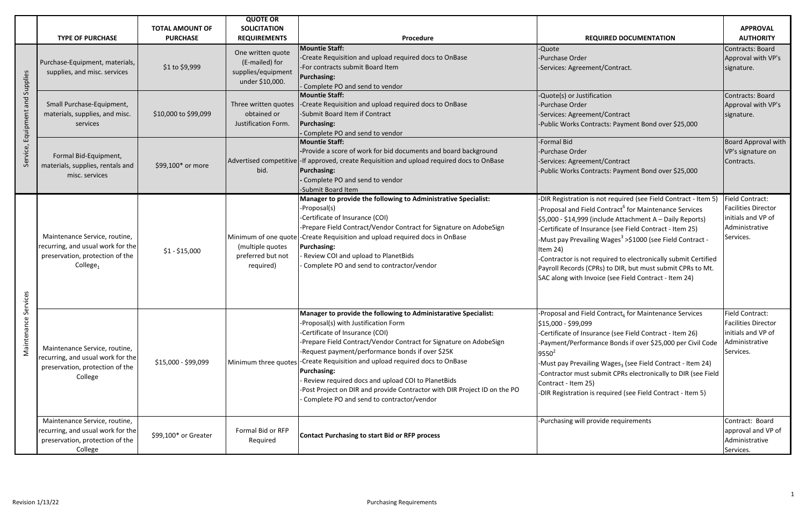|                                          |                                                                                                                               | <b>TOTAL AMOUNT OF</b> | <b>QUOTE OR</b><br><b>SOLICITATION</b>                                       |                                                                                                                                                                                                                                                                                                                                                                                                                                                                                                                                     |                                                                                                                                                                                                                                                                                                                                                                                                                                                                                                                                              | <b>APPROVAL</b>                                                                                           |
|------------------------------------------|-------------------------------------------------------------------------------------------------------------------------------|------------------------|------------------------------------------------------------------------------|-------------------------------------------------------------------------------------------------------------------------------------------------------------------------------------------------------------------------------------------------------------------------------------------------------------------------------------------------------------------------------------------------------------------------------------------------------------------------------------------------------------------------------------|----------------------------------------------------------------------------------------------------------------------------------------------------------------------------------------------------------------------------------------------------------------------------------------------------------------------------------------------------------------------------------------------------------------------------------------------------------------------------------------------------------------------------------------------|-----------------------------------------------------------------------------------------------------------|
|                                          | <b>TYPE OF PURCHASE</b>                                                                                                       | <b>PURCHASE</b>        | <b>REQUIREMENTS</b>                                                          | Procedure                                                                                                                                                                                                                                                                                                                                                                                                                                                                                                                           | <b>REQUIRED DOCUMENTATION</b>                                                                                                                                                                                                                                                                                                                                                                                                                                                                                                                | <b>AUTHORITY</b>                                                                                          |
| Supplies<br>and<br>Equipment<br>Service, | Purchase-Equipment, materials,<br>supplies, and misc. services                                                                | \$1 to \$9,999         | One written quote<br>(E-mailed) for<br>supplies/equipment<br>under \$10,000. | <b>Mountie Staff:</b><br>-Create Requisition and upload required docs to OnBase<br>-For contracts submit Board Item<br><b>Purchasing:</b><br>- Complete PO and send to vendor                                                                                                                                                                                                                                                                                                                                                       | -Quote<br>-Purchase Order<br>-Services: Agreement/Contract.                                                                                                                                                                                                                                                                                                                                                                                                                                                                                  | Contracts: Board<br>Approval with VP's<br>signature.                                                      |
|                                          | Small Purchase-Equipment,<br>materials, supplies, and misc.<br>services                                                       | \$10,000 to \$99,099   | Three written quotes<br>obtained or<br>Justification Form.                   | <b>Mountie Staff:</b><br>-Create Requisition and upload required docs to OnBase<br>-Submit Board Item if Contract<br><b>Purchasing:</b><br>- Complete PO and send to vendor                                                                                                                                                                                                                                                                                                                                                         | -Quote(s) or Justification<br>-Purchase Order<br>-Services: Agreement/Contract<br>-Public Works Contracts: Payment Bond over \$25,000                                                                                                                                                                                                                                                                                                                                                                                                        | Contracts: Board<br>Approval with VP's<br>signature.                                                      |
|                                          | Formal Bid-Equipment,<br>materials, supplies, rentals and<br>misc. services                                                   | \$99,100* or more      | bid.                                                                         | <b>Mountie Staff:</b><br>-Provide a score of work for bid documents and board background<br>Advertised competitive - If approved, create Requisition and upload required docs to OnBase<br><b>Purchasing:</b><br>- Complete PO and send to vendor<br>-Submit Board Item                                                                                                                                                                                                                                                             | -Formal Bid<br>-Purchase Order<br>-Services: Agreement/Contract<br>-Public Works Contracts: Payment Bond over \$25,000                                                                                                                                                                                                                                                                                                                                                                                                                       | <b>Board Approval with</b><br>VP's signature on<br>Contracts.                                             |
| vices<br>Maintenance                     | Maintenance Service, routine,<br>recurring, and usual work for the<br>preservation, protection of the<br>College <sub>1</sub> | $$1 - $15,000$         | (multiple quotes<br>preferred but not<br>required)                           | Manager to provide the following to Administrative Specialist:<br>-Proposal(s)<br>-Certificate of Insurance (COI)<br>-Prepare Field Contract/Vendor Contract for Signature on AdobeSign<br>Minimum of one quote - Create Requisition and upload required docs in OnBase<br><b>Purchasing:</b><br>- Review COI and upload to PlanetBids<br>Complete PO and send to contractor/vendor                                                                                                                                                 | -DIR Registration is not required (see Field Contract - Item 5)<br>-Proposal and Field Contract <sup>6</sup> for Maintenance Services<br>\$5,000 - \$14,999 (include Attachment A – Daily Reports)<br>-Certificate of Insurance (see Field Contract - Item 25)<br>-Must pay Prevailing Wages <sup>3</sup> >\$1000 (see Field Contract -<br>Item 24)<br>-Contractor is not required to electronically submit Certified<br>Payroll Records (CPRs) to DIR, but must submit CPRs to Mt.<br>SAC along with Invoice (see Field Contract - Item 24) | <b>Field Contract:</b><br><b>Facilities Director</b><br>initials and VP of<br>Administrative<br>Services. |
|                                          | Maintenance Service, routine,<br>ecurring, and usual work for the<br>preservation, protection of the<br>College               | \$15,000 - \$99,099    | Minimum three quotes                                                         | Manager to provide the following to Administarative Specialist:<br>-Proposal(s) with Justification Form<br>-Certificate of Insurance (COI)<br>-Prepare Field Contract/Vendor Contract for Signature on AdobeSign<br>-Request payment/performance bonds if over \$25K<br>-Create Requisition and upload required docs to OnBase<br><b>Purchasing:</b><br>Review required docs and upload COI to PlanetBids<br>-Post Project on DIR and provide Contractor with DIR Project ID on the PO<br>Complete PO and send to contractor/vendor | Proposal and Field Contract <sub>6</sub> for Maintenance Services<br>\$15,000 - \$99,099<br>-Certificate of Insurance (see Field Contract - Item 26)<br>-Payment/Performance Bonds if over \$25,000 per Civil Code<br>$9550^2$<br>-Must pay Prevailing Wages <sub>3</sub> (see Field Contract - Item 24)<br>Contractor must submit CPRs electronically to DIR (see Field<br>Contract - Item 25)<br>-DIR Registration is required (see Field Contract - Item 5)                                                                               | <b>Field Contract:</b><br><b>Facilities Director</b><br>initials and VP of<br>Administrative<br>Services. |
|                                          | Maintenance Service, routine,<br>recurring, and usual work for the<br>preservation, protection of the<br>College              | \$99,100* or Greater   | Formal Bid or RFP<br>Required                                                | <b>Contact Purchasing to start Bid or RFP process</b>                                                                                                                                                                                                                                                                                                                                                                                                                                                                               | -Purchasing will provide requirements                                                                                                                                                                                                                                                                                                                                                                                                                                                                                                        | Contract: Board<br>approval and VP of<br>Administrative<br>Services.                                      |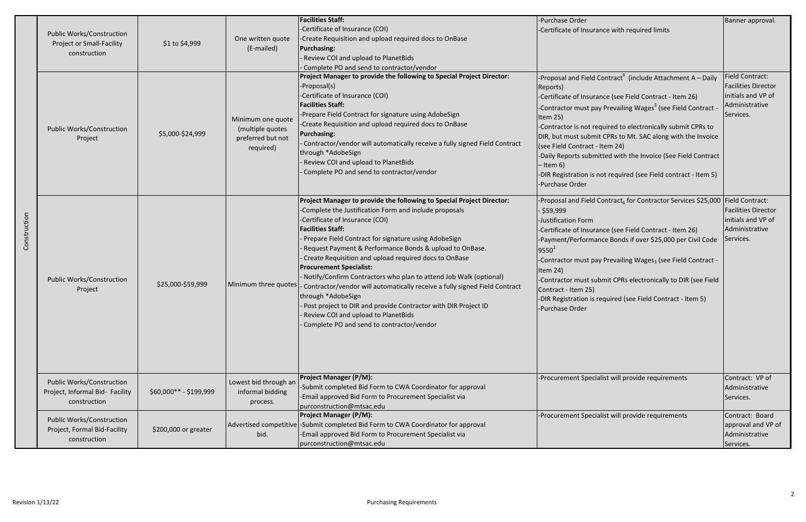| Construction | <b>Public Works/Construction</b><br><b>Project or Small-Facility</b><br>construction | \$1 to \$4,999         | One written quote<br>(E-mailed)                                         | <b>Facilities Staff:</b><br>-Certificate of Insurance (COI)<br>-Create Requisition and upload required docs to OnBase<br><b>Purchasing:</b><br>Review COI and upload to PlanetBids<br>Complete PO and send to contractor/vendor                                                                                                                                                                                                                                                                                                                                                                                                                                                                                                               | -Purchase Order<br>-Certificate of Insurance with required limits                                                                                                                                                                                                                                                                                                                                                                                                                                                                                                            | Banner approval.                                                                                          |
|--------------|--------------------------------------------------------------------------------------|------------------------|-------------------------------------------------------------------------|-----------------------------------------------------------------------------------------------------------------------------------------------------------------------------------------------------------------------------------------------------------------------------------------------------------------------------------------------------------------------------------------------------------------------------------------------------------------------------------------------------------------------------------------------------------------------------------------------------------------------------------------------------------------------------------------------------------------------------------------------|------------------------------------------------------------------------------------------------------------------------------------------------------------------------------------------------------------------------------------------------------------------------------------------------------------------------------------------------------------------------------------------------------------------------------------------------------------------------------------------------------------------------------------------------------------------------------|-----------------------------------------------------------------------------------------------------------|
|              | <b>Public Works/Construction</b><br>Project                                          | \$5,000-\$24,999       | Minimum one quote<br>(multiple quotes<br>preferred but not<br>required) | Project Manager to provide the following to Special Project Director:<br>-Proposal(s)<br>-Certificate of Insurance (COI)<br><b>Facilities Staff:</b><br>-Prepare Field Contract for signature using AdobeSign<br>-Create Requisition and upload required docs to OnBase<br><b>Purchasing:</b><br>Contractor/vendor will automatically receive a fully signed Field Contract<br>through *AdobeSign<br>Review COI and upload to PlanetBids<br>Complete PO and send to contractor/vendor                                                                                                                                                                                                                                                         | -Proposal and Field Contract <sup>6</sup> (include Attachment A – Daily<br>Reports)<br>-Certificate of Insurance (see Field Contract - Item 26)<br>-Contractor must pay Prevailing Wages <sup>3</sup> (see Field Contract -<br>Item 25)<br>-Contractor is not required to electronically submit CPRs to<br>DIR, but must submit CPRs to Mt. SAC along with the Invoice<br>(see Field Contract - Item 24)<br>-Daily Reports submitted with the Invoice (See Field Contract<br>– Item 6)<br>-DIR Registration is not required (see Field contract - Item 5)<br>-Purchase Order | <b>Field Contract:</b><br><b>Facilities Director</b><br>initials and VP of<br>Administrative<br>Services. |
|              | <b>Public Works/Construction</b><br>Project                                          | \$25,000-\$59,999      | Minimum three quotes                                                    | Project Manager to provide the following to Special Project Director:<br>-Complete the Justification Form and include proposals<br>-Certificate of Insurance (COI)<br><b>Facilities Staff:</b><br>Prepare Field Contract for signature using AdobeSign<br>Request Payment & Performance Bonds & upload to OnBase.<br>Create Requisition and upload required docs to OnBase<br><b>Procurement Specialist:</b><br>Notify/Confirm Contractors who plan to attend Job Walk (optional)<br>- Contractor/vendor will automatically receive a fully signed Field Contract<br>through *AdobeSign<br>Post project to DIR and provide Contractor with DIR Project ID<br>Review COI and upload to PlanetBids<br>Complete PO and send to contractor/vendor | -Proposal and Field Contract <sub>6</sub> for Contractor Services \$25,000 Field Contract:<br>- \$59,999<br>-Justification Form<br>-Certificate of Insurance (see Field Contract - Item 26)<br>-Payment/Performance Bonds if over \$25,000 per Civil Code<br>$9550^2$<br>-Contractor must pay Prevailing Wages <sub>3</sub> (see Field Contract -<br>Item 24)<br>-Contractor must submit CPRs electronically to DIR (see Field<br>Contract - Item 25)<br>-DIR Registration is required (see Field Contract - Item 5)<br>-Purchase Order                                      | <b>Facilities Director</b><br>initials and VP of<br>Administrative<br>Services.                           |
|              | <b>Public Works/Construction</b><br>Project, Informal Bid- Facility<br>construction  | \$60,000** - \$199,999 | Lowest bid through ar<br>informal bidding<br>process.                   | <b>Project Manager (P/M):</b><br>-Submit completed Bid Form to CWA Coordinator for approval<br>-Email approved Bid Form to Procurement Specialist via<br>purconstruction@mtsac.edu                                                                                                                                                                                                                                                                                                                                                                                                                                                                                                                                                            | -Procurement Specialist will provide requirements                                                                                                                                                                                                                                                                                                                                                                                                                                                                                                                            | Contract: VP of<br>Administrative<br>Services.                                                            |
|              | <b>Public Works/Construction</b><br>Project, Formal Bid-Facility<br>construction     | \$200,000 or greater   | bid.                                                                    | <b>Project Manager (P/M):</b><br>Advertised competitive -Submit completed Bid Form to CWA Coordinator for approval<br>-Email approved Bid Form to Procurement Specialist via<br>purconstruction@mtsac.edu                                                                                                                                                                                                                                                                                                                                                                                                                                                                                                                                     | -Procurement Specialist will provide requirements                                                                                                                                                                                                                                                                                                                                                                                                                                                                                                                            | Contract: Board<br>approval and VP of<br>Administrative<br>Services.                                      |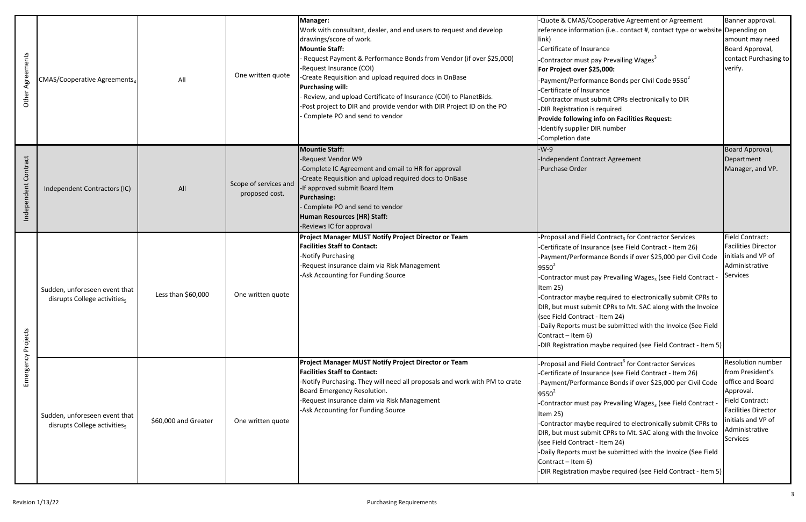| Other Agreements     | CMAS/Cooperative Agreements <sub>4</sub>                                  | All                  | One written quote                       | Manager:<br>Work with consultant, dealer, and end users to request and develop<br>drawings/score of work.<br><b>Mountie Staff:</b><br>Request Payment & Performance Bonds from Vendor (if over \$25,000)<br>-Request Insurance (COI)<br>Create Requisition and upload required docs in OnBase<br><b>Purchasing will:</b><br>Review, and upload Certificate of Insurance (COI) to PlanetBids.<br>Post project to DIR and provide vendor with DIR Project ID on the PO<br>Complete PO and send to vendor | -Quote & CMAS/Cooperative Agreement or Agreement<br>reference information (i.e contact #, contact type or website Depending on<br>link)<br>-Certificate of Insurance<br>-Contractor must pay Prevailing Wages <sup>3</sup><br>For Project over \$25,000:<br>-Payment/Performance Bonds per Civil Code 9550 <sup>2</sup><br>Certificate of Insurance<br>Contractor must submit CPRs electronically to DIR<br>-DIR Registration is required<br><b>Provide following info on Facilities Request:</b><br>Identify supplier DIR number<br>Completion date                                                                     | Banner approval.<br>amount may need<br>Board Approval,<br>contact Purchasing to<br>verify.                                                                                                |
|----------------------|---------------------------------------------------------------------------|----------------------|-----------------------------------------|--------------------------------------------------------------------------------------------------------------------------------------------------------------------------------------------------------------------------------------------------------------------------------------------------------------------------------------------------------------------------------------------------------------------------------------------------------------------------------------------------------|--------------------------------------------------------------------------------------------------------------------------------------------------------------------------------------------------------------------------------------------------------------------------------------------------------------------------------------------------------------------------------------------------------------------------------------------------------------------------------------------------------------------------------------------------------------------------------------------------------------------------|-------------------------------------------------------------------------------------------------------------------------------------------------------------------------------------------|
| Independent Contract | Independent Contractors (IC)                                              | All                  | Scope of services and<br>proposed cost. | <b>Mountie Staff:</b><br>-Request Vendor W9<br>-Complete IC Agreement and email to HR for approval<br>-Create Requisition and upload required docs to OnBase<br>If approved submit Board Item<br><b>Purchasing:</b><br>Complete PO and send to vendor<br>Human Resources (HR) Staff:<br>-Reviews IC for approval                                                                                                                                                                                       | -W-9<br>Independent Contract Agreement<br>-Purchase Order                                                                                                                                                                                                                                                                                                                                                                                                                                                                                                                                                                | Board Approval,<br>Department<br>Manager, and VP.                                                                                                                                         |
| Emergency Projects   | Sudden, unforeseen event that<br>disrupts College activities <sub>5</sub> | Less than \$60,000   | One written quote                       | Project Manager MUST Notify Project Director or Team<br><b>Facilities Staff to Contact:</b><br>-Notify Purchasing<br>-Request insurance claim via Risk Management<br>-Ask Accounting for Funding Source                                                                                                                                                                                                                                                                                                | Proposal and Field Contract <sub>6</sub> for Contractor Services<br>-Certificate of Insurance (see Field Contract - Item 26)<br>Payment/Performance Bonds if over \$25,000 per Civil Code<br>$9550^2$<br>-Contractor must pay Prevailing Wages <sub>3</sub> (see Field Contract -<br>Item 25)<br>Contractor maybe required to electronically submit CPRs to<br>DIR, but must submit CPRs to Mt. SAC along with the Invoice<br>(see Field Contract - Item 24)<br>-Daily Reports must be submitted with the Invoice (See Field<br>Contract - Item 6)<br>-DIR Registration maybe required (see Field Contract - Item 5)     | <b>Field Contract:</b><br><b>Facilities Director</b><br>nitials and VP of<br>Administrative<br><b>Services</b>                                                                            |
|                      | Sudden, unforeseen event that<br>disrupts College activities <sub>5</sub> | \$60,000 and Greater | One written quote                       | Project Manager MUST Notify Project Director or Team<br><b>Facilities Staff to Contact:</b><br>-Notify Purchasing. They will need all proposals and work with PM to crate<br>Board Emergency Resolution.<br>-Request insurance claim via Risk Management<br>-Ask Accounting for Funding Source                                                                                                                                                                                                         | -Proposal and Field Contract <sup>6</sup> for Contractor Services<br>-Certificate of Insurance (see Field Contract - Item 26)<br>Payment/Performance Bonds if over \$25,000 per Civil Code<br>$9550^2$<br>-Contractor must pay Prevailing Wages <sub>3</sub> (see Field Contract -<br>Item $25$ )<br>Contractor maybe required to electronically submit CPRs to<br>DIR, but must submit CPRs to Mt. SAC along with the Invoice<br>(see Field Contract - Item 24)<br>-Daily Reports must be submitted with the Invoice (See Field<br>Contract – Item 6)<br>-DIR Registration maybe required (see Field Contract - Item 5) | Resolution number<br>from President's<br>office and Board<br>Approval.<br><b>Field Contract:</b><br><b>Facilities Director</b><br>initials and VP of<br>Administrative<br><b>Services</b> |